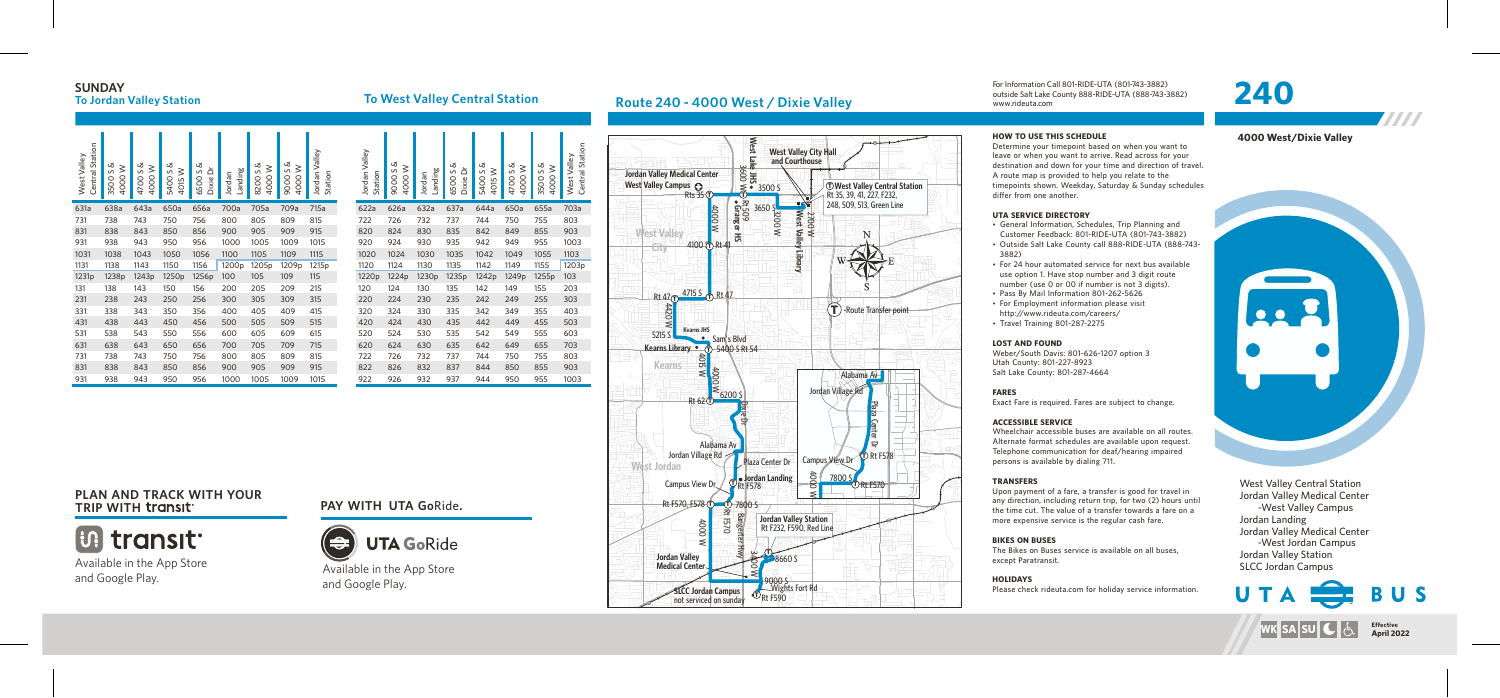# **SUNDAY**<br>To Jordan Valley Station



For Information Call 801-RIDE-UTA (801-743-3882) outside Salt Lake County 888-RIDE-UTA (888-743-3882)

• General Information, Schedules, Trip Planning and Customer Feedback: 801-RIDE-UTA (801-743-3882) • Outside Salt Lake County call 888-RIDE-UTA (888-743-

www.rideuta.com

### **HOW TO USE THIS SCHEDULE**

Determine your timepoint based on when you want to leave or when you want to arrive. Read across for your destination and down for your time and direction of travel. A route map is provided to help you relate to the timepoints shown. Weekday, Saturday & Sunday schedules differ from one another.

- 
- 3882)
- 
- 
- $\cdot$  Travel Training 801-287-2275

• For 24 hour automated service for next bus available use option 1. Have stop number and 3 digit route number (use 0 or 00 if number is not 3 digits). • Pass By Mail Information 801-262-5626 • For Employment information please visit http://www.rideuta.com/careers/

### **UTA SERVICE DIRECTORY**

### **LOST AND FOUND**

Weber/South Davis: 801-626-1207 option 3 Utah County: 801-227-8923 Salt Lake County: 801-287-4664

## **FARES**

Exact Fare is required. Fares are subject to change.

## **ACCESSIBLE SERVICE**

Wheelchair accessible buses are available on all routes. Alternate format schedules are available upon request. Telephone communication for deaf/hearing impaired persons is available by dialing 711.

## **TRANSFERS**

Upon payment of a fare, a transfer is good for travel in any direction, including return trip, for two (2) hours until the time cut. The value of a transfer towards a fare on a more expensive service is the regular cash fare.

**BIKES ON BUSES** The Bikes on Buses service is available on all buses, except Paratransit.

# **HOLIDAYS**

Please check rideuta.com for holiday service information.

West Valley Central Station Jordan Valley Medical Center -West Valley Campus Jordan Landing Jordan Valley Medical Center -West Jordan Campus Jordan Valley Station SLCC Jordan Campus



### **4000 West/Dixie Valley**

TTT I



## **Route 240 - 4000 West / Dixie Valley**



Available in the App Store and Google Play.

# **PLAN AND TRACK WITH YOUR**



# **TRIP WITH PAY WITH UTA Go**Ride**.**



Available in the App Store and Google Play.

| Jordan Valley<br>Station | 9000 S &<br>$\geq$<br>4000 | Landing<br>Jordan | 6500 S &<br>ă<br><b>Dixie</b> | z<br>5400 S<br>≳<br>4015 | 4700 S &<br>≥<br>4000 | 3500 S &<br>≥<br>4000 | Central Station<br>West Valley |
|--------------------------|----------------------------|-------------------|-------------------------------|--------------------------|-----------------------|-----------------------|--------------------------------|
| 622a                     | 626a                       | 632a              | 637a                          | 644a                     | 650a                  | 655a                  | 703a                           |
| 722                      | 726                        | 732               | 737                           | 744                      | 750                   | 755                   | 803                            |
| 820                      | 824                        | 830               | 835                           | 842                      | 849                   | 855                   | 903                            |
| 920                      | 924                        | 930               | 935                           | 942                      | 949                   | 955                   | 1003                           |
| 1020                     | 1024                       | 1030              | 1035                          | 1042                     | 1049                  | 1055                  | 1103                           |
| 1120                     | 1124                       | 1130              | 1135                          | 1142                     | 1149                  | 1155                  | 1203p                          |
| 1220p                    | 1224p                      | 1230p             | 1235p                         | 1242p                    | 1249 <sub>p</sub>     | 1255p                 | 103                            |
| 120                      | 124                        | 130               | 135                           | 142                      | 149                   | 155                   | 203                            |
| 220                      | 224                        | 230               | 235                           | 242                      | 249                   | 255                   | 303                            |
| 320                      | 324                        | 330               | 335                           | 342                      | 349                   | 355                   | 403                            |
| 420                      | 424                        | 430               | 435                           | 442                      | 449                   | 455                   | 503                            |
| 520                      | 524                        | 530               | 535                           | 542                      | 549                   | 555                   | 603                            |
| 620                      | 624                        | 630               | 635                           | 642                      | 649                   | 655                   | 703                            |
| 722                      | 726                        | 732               | 737                           | 744                      | 750                   | 755                   | 803                            |
| 822                      | 826                        | 832               | 837                           | 844                      | 850                   | 855                   | 903                            |
| 922                      | 926                        | 932               | 937                           | 944                      | 950                   | 955                   | 1003                           |

**To West Valley Central Station** 

| Central Station<br>West Valley | Ø<br>$\geq$<br>$\sim$<br>4000<br>3500 | ൾ<br>$\geq$<br>S<br>4000<br>4700 | య<br>4015W<br>$\mathsf{S}$<br>5400 | త<br>ă<br>$\sim$<br>6500<br>Dixie I | Landing<br>Jordan | య<br>4000 W<br>S<br>8200 | ൾ<br>4000W<br>S<br>9000 | Valley<br>Station<br>Jordan | Jordan Valley<br>Station | య<br>$\geq$<br>S<br>4000<br>9000 | Landing<br>Jordan | య<br>ă<br>$\sim$<br>6500<br><b>Dixie</b> | త<br>4015W<br>$\sim$<br>5400 | Ø<br>$\geq$<br>S<br>4000<br>4700 | య<br>4000W<br>$\sim$<br>3500 | Station<br>West Valley<br>Central |
|--------------------------------|---------------------------------------|----------------------------------|------------------------------------|-------------------------------------|-------------------|--------------------------|-------------------------|-----------------------------|--------------------------|----------------------------------|-------------------|------------------------------------------|------------------------------|----------------------------------|------------------------------|-----------------------------------|
| 631a                           | 638a                                  | 643a                             | 650a                               | 656a                                | 700a              | 705a                     | 709a                    | 715a                        | 622a                     | 626a                             | 632a              | 637a                                     | 644a                         | 650a                             | 655a                         | 703a                              |
| 731                            | 738                                   | 743                              | 750                                | 756                                 | 800               | 805                      | 809                     | 815                         | 722                      | 726                              | 732               | 737                                      | 744                          | 750                              | 755                          | 803                               |
| 831                            | 838                                   | 843                              | 850                                | 856                                 | 900               | 905                      | 909                     | 915                         | 820                      | 824                              | 830               | 835                                      | 842                          | 849                              | 855                          | 903                               |
| 931                            | 938                                   | 943                              | 950                                | 956                                 | 1000              | 1005                     | 1009                    | 1015                        | 920                      | 924                              | 930               | 935                                      | 942                          | 949                              | 955                          | 1003                              |
| 1031                           | 1038                                  | 1043                             | 1050                               | 1056                                | 1100              | 1105                     | 1109                    | 1115                        | 1020                     | 1024                             | 1030              | 1035                                     | 1042                         | 1049                             | 1055                         | 1103                              |
| 1131                           | 1138                                  | 1143                             | 1150                               | 1156                                | 1200p             | 1205p                    | 1209p                   | 1215p                       | 1120                     | 1124                             | 1130              | 1135                                     | 1142                         | 1149                             | 1155                         | 1203p                             |
| 1231p                          | 1238p                                 | 1243p                            | 1250p                              | 1256p                               | 100               | 105                      | 109                     | 115                         | 1220 <sub>p</sub>        | 1224p                            | 1230 <sub>p</sub> | 1235p                                    | 1242p                        | 1249p                            | 1255p                        | 103                               |
| 131                            | 138                                   | 143                              | 150                                | 156                                 | 200               | 205                      | 209                     | 215                         | 120                      | 124                              | 130               | 135                                      | 142                          | 149                              | 155                          | 203                               |
| 231                            | 238                                   | 243                              | 250                                | 256                                 | 300               | 305                      | 309                     | 315                         | 220                      | 224                              | 230               | 235                                      | 242                          | 249                              | 255                          | 303                               |
| 331                            | 338                                   | 343                              | 350                                | 356                                 | 400               | 405                      | 409                     | 415                         | 320                      | 324                              | 330               | 335                                      | 342                          | 349                              | 355                          | 403                               |
| 431                            | 438                                   | 443                              | 450                                | 456                                 | 500               | 505                      | 509                     | 515                         | 420                      | 424                              | 430               | 435                                      | 442                          | 449                              | 455                          | 503                               |
| 531                            | 538                                   | 543                              | 550                                | 556                                 | 600               | 605                      | 609                     | 615                         | 520                      | 524                              | 530               | 535                                      | 542                          | 549                              | 555                          | 603                               |
| 631                            | 638                                   | 643                              | 650                                | 656                                 | 700               | 705                      | 709                     | 715                         | 620                      | 624                              | 630               | 635                                      | 642                          | 649                              | 655                          | 703                               |
| 731                            | 738                                   | 743                              | 750                                | 756                                 | 800               | 805                      | 809                     | 815                         | 722                      | 726                              | 732               | 737                                      | 744                          | 750                              | 755                          | 803                               |
| 831                            | 838                                   | 843                              | 850                                | 856                                 | 900               | 905                      | 909                     | 915                         | 822                      | 826                              | 832               | 837                                      | 844                          | 850                              | 855                          | 903                               |
| 931                            | 938                                   | 943                              | 950                                | 956                                 | 1000              | 1005                     | 1009                    | 1015                        | 922                      | 926                              | 932               | 937                                      | 944                          | 950                              | 955                          | 1003                              |